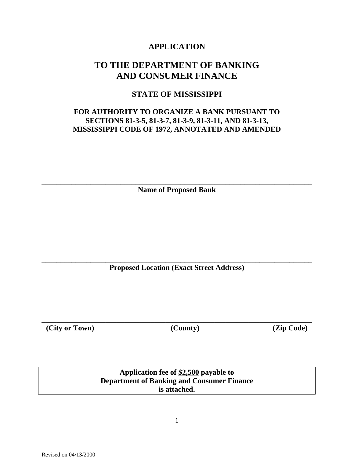# **APPLICATION**

# **TO THE DEPARTMENT OF BANKING AND CONSUMER FINANCE**

# **STATE OF MISSISSIPPI**

# **FOR AUTHORITY TO ORGANIZE A BANK PURSUANT TO SECTIONS 81-3-5, 81-3-7, 81-3-9, 81-3-11, AND 81-3-13, MISSISSIPPI CODE OF 1972, ANNOTATED AND AMENDED**

\_\_\_\_\_\_\_\_\_\_\_\_\_\_\_\_\_\_\_\_\_\_\_\_\_\_\_\_\_\_\_\_\_\_\_\_\_\_\_\_\_\_\_\_\_\_\_\_\_\_\_\_\_\_\_\_\_\_\_\_\_\_\_\_\_\_\_\_\_\_\_\_ **Name of Proposed Bank** 

**\_\_\_\_\_\_\_\_\_\_\_\_\_\_\_\_\_\_\_\_\_\_\_\_\_\_\_\_\_\_\_\_\_\_\_\_\_\_\_\_\_\_\_\_\_\_\_\_\_\_\_\_\_\_\_\_\_\_\_\_\_\_\_\_\_\_\_\_\_\_\_\_ Proposed Location (Exact Street Address)** 

**(City or Town) (County) (Zip Code)**

\_\_\_\_\_\_\_\_\_\_\_\_\_\_\_\_\_\_\_\_\_\_\_\_\_\_\_\_\_\_\_\_\_\_\_\_\_\_\_\_\_\_\_\_\_\_\_\_\_\_\_\_\_\_\_\_\_\_\_\_\_\_\_\_\_\_\_\_\_\_\_\_

**Application fee of \$2,500 payable to Department of Banking and Consumer Finance is attached.**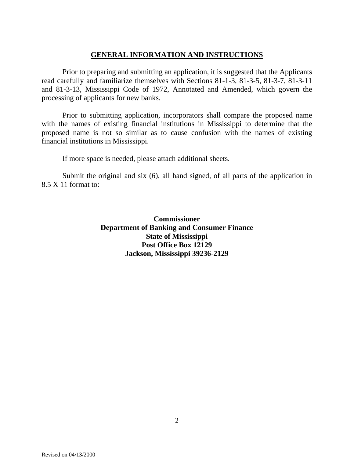# **GENERAL INFORMATION AND INSTRUCTIONS**

Prior to preparing and submitting an application, it is suggested that the Applicants read carefully and familiarize themselves with Sections 81-1-3, 81-3-5, 81-3-7, 81-3-11 and 81-3-13, Mississippi Code of 1972, Annotated and Amended, which govern the processing of applicants for new banks.

Prior to submitting application, incorporators shall compare the proposed name with the names of existing financial institutions in Mississippi to determine that the proposed name is not so similar as to cause confusion with the names of existing financial institutions in Mississippi.

If more space is needed, please attach additional sheets.

Submit the original and six (6), all hand signed, of all parts of the application in 8.5 X 11 format to:

> **Commissioner Department of Banking and Consumer Finance State of Mississippi Post Office Box 12129 Jackson, Mississippi 39236-2129**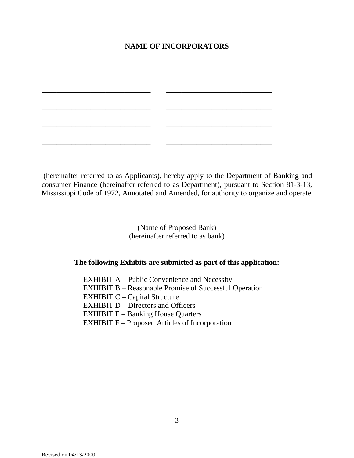# **NAME OF INCORPORATORS**

\_\_\_\_\_\_\_\_\_\_\_\_\_\_\_\_\_\_\_\_\_\_\_\_\_\_\_\_\_ \_\_\_\_\_\_\_\_\_\_\_\_\_\_\_\_\_\_\_\_\_\_\_\_\_\_\_\_ \_\_\_\_\_\_\_\_\_\_\_\_\_\_\_\_\_\_\_\_\_\_\_\_\_\_\_\_\_ \_\_\_\_\_\_\_\_\_\_\_\_\_\_\_\_\_\_\_\_\_\_\_\_\_\_\_\_

\_\_\_\_\_\_\_\_\_\_\_\_\_\_\_\_\_\_\_\_\_\_\_\_\_\_\_\_\_ \_\_\_\_\_\_\_\_\_\_\_\_\_\_\_\_\_\_\_\_\_\_\_\_\_\_\_\_

\_\_\_\_\_\_\_\_\_\_\_\_\_\_\_\_\_\_\_\_\_\_\_\_\_\_\_\_\_ \_\_\_\_\_\_\_\_\_\_\_\_\_\_\_\_\_\_\_\_\_\_\_\_\_\_\_\_

\_\_\_\_\_\_\_\_\_\_\_\_\_\_\_\_\_\_\_\_\_\_\_\_\_\_\_\_\_ \_\_\_\_\_\_\_\_\_\_\_\_\_\_\_\_\_\_\_\_\_\_\_\_\_\_\_\_

 (hereinafter referred to as Applicants), hereby apply to the Department of Banking and consumer Finance (hereinafter referred to as Department), pursuant to Section 81-3-13, Mississippi Code of 1972, Annotated and Amended, for authority to organize and operate

> (Name of Proposed Bank) (hereinafter referred to as bank)

### **The following Exhibits are submitted as part of this application:**

 EXHIBIT A – Public Convenience and Necessity EXHIBIT B – Reasonable Promise of Successful Operation EXHIBIT C – Capital Structure EXHIBIT D – Directors and Officers EXHIBIT E – Banking House Quarters EXHIBIT F – Proposed Articles of Incorporation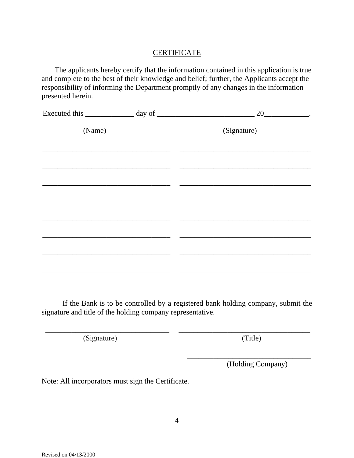## **CERTIFICATE**

 The applicants hereby certify that the information contained in this application is true and complete to the best of their knowledge and belief; further, the Applicants accept the responsibility of informing the Department promptly of any changes in the information presented herein.

|        | Executed this $\_\_\_\_\_$ day of $\_\_\_\_\_\_\_$ 20 $\_\_\_\_\_\_$ |
|--------|----------------------------------------------------------------------|
| (Name) | (Signature)                                                          |
|        |                                                                      |
|        |                                                                      |
|        |                                                                      |
|        |                                                                      |
|        |                                                                      |
|        |                                                                      |
|        |                                                                      |
|        |                                                                      |

If the Bank is to be controlled by a registered bank holding company, submit the signature and title of the holding company representative.

\_\_\_\_\_\_\_\_\_\_\_\_\_\_\_\_\_\_\_\_\_\_\_\_\_\_\_\_\_\_\_\_\_ \_\_\_\_\_\_\_\_\_\_\_\_\_\_\_\_\_\_\_\_\_\_\_\_\_\_\_\_\_\_\_\_\_\_\_

(Signature) (Title)

\_\_\_\_\_\_\_\_\_\_\_\_\_\_\_\_\_\_\_\_\_\_\_\_\_\_\_\_\_\_\_\_\_

(Holding Company)

Note: All incorporators must sign the Certificate.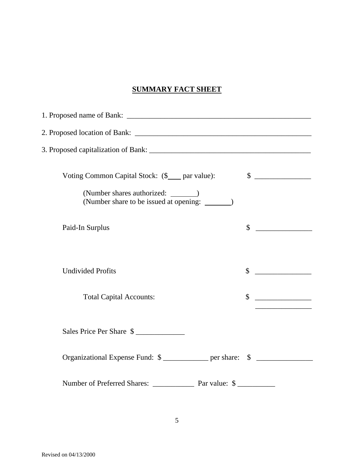# **SUMMARY FACT SHEET**

| Voting Common Capital Stock: (\$___ par value):                                         | $\frac{\text{S}}{\text{S}}$ |  |
|-----------------------------------------------------------------------------------------|-----------------------------|--|
| (Number shares authorized: _______)<br>(Number share to be issued at opening: ________) |                             |  |
| Paid-In Surplus                                                                         | $\mathbb{S}$                |  |
| <b>Undivided Profits</b>                                                                | \$                          |  |
| <b>Total Capital Accounts:</b>                                                          | \$                          |  |
| Sales Price Per Share \$                                                                |                             |  |
| Organizational Expense Fund: \$ _____________ per share: \$ ______________________      |                             |  |
|                                                                                         |                             |  |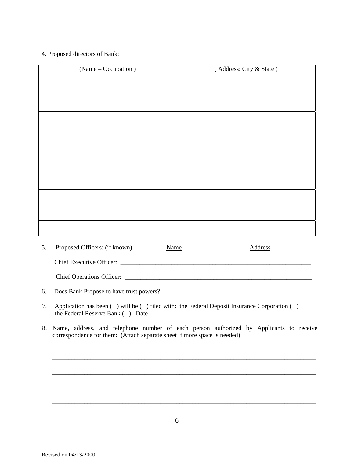### 4. Proposed directors of Bank:

| (Name – Occupation) | (Address: City & State) |
|---------------------|-------------------------|
|                     |                         |
|                     |                         |
|                     |                         |
|                     |                         |
|                     |                         |
|                     |                         |
|                     |                         |
|                     |                         |
|                     |                         |
|                     |                         |



Chief Operations Officer: \_\_\_\_\_\_\_\_\_\_\_\_\_\_\_\_\_\_\_\_\_\_\_\_\_\_\_\_\_\_\_\_\_\_\_\_\_\_\_\_\_\_\_\_\_\_\_\_\_\_\_\_\_\_\_\_\_\_\_

6. Does Bank Propose to have trust powers? \_\_\_\_\_\_\_\_\_\_\_\_\_

- 7. Application has been ( ) will be ( ) filed with: the Federal Deposit Insurance Corporation ( ) the Federal Reserve Bank ( ). Date \_\_\_\_\_\_\_\_\_\_\_\_\_\_\_\_\_\_\_\_
- 8. Name, address, and telephone number of each person authorized by Applicants to receive correspondence for them: (Attach separate sheet if more space is needed)

\_\_\_\_\_\_\_\_\_\_\_\_\_\_\_\_\_\_\_\_\_\_\_\_\_\_\_\_\_\_\_\_\_\_\_\_\_\_\_\_\_\_\_\_\_\_\_\_\_\_\_\_\_\_\_\_\_\_\_\_\_\_\_\_\_\_\_\_\_\_\_\_\_\_\_\_\_\_\_\_\_\_\_

\_\_\_\_\_\_\_\_\_\_\_\_\_\_\_\_\_\_\_\_\_\_\_\_\_\_\_\_\_\_\_\_\_\_\_\_\_\_\_\_\_\_\_\_\_\_\_\_\_\_\_\_\_\_\_\_\_\_\_\_\_\_\_\_\_\_\_\_\_\_\_\_\_\_\_\_\_\_\_\_\_\_\_

\_\_\_\_\_\_\_\_\_\_\_\_\_\_\_\_\_\_\_\_\_\_\_\_\_\_\_\_\_\_\_\_\_\_\_\_\_\_\_\_\_\_\_\_\_\_\_\_\_\_\_\_\_\_\_\_\_\_\_\_\_\_\_\_\_\_\_\_\_\_\_\_\_\_\_\_\_\_\_\_\_\_\_

\_\_\_\_\_\_\_\_\_\_\_\_\_\_\_\_\_\_\_\_\_\_\_\_\_\_\_\_\_\_\_\_\_\_\_\_\_\_\_\_\_\_\_\_\_\_\_\_\_\_\_\_\_\_\_\_\_\_\_\_\_\_\_\_\_\_\_\_\_\_\_\_\_\_\_\_\_\_\_\_\_\_\_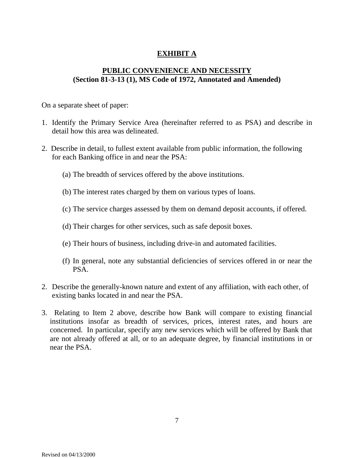# **EXHIBIT A**

# **PUBLIC CONVENIENCE AND NECESSITY (Section 81-3-13 (1), MS Code of 1972, Annotated and Amended)**

On a separate sheet of paper:

- 1. Identify the Primary Service Area (hereinafter referred to as PSA) and describe in detail how this area was delineated.
- 2. Describe in detail, to fullest extent available from public information, the following for each Banking office in and near the PSA:
	- (a) The breadth of services offered by the above institutions.
	- (b) The interest rates charged by them on various types of loans.
	- (c) The service charges assessed by them on demand deposit accounts, if offered.
	- (d) Their charges for other services, such as safe deposit boxes.
	- (e) Their hours of business, including drive-in and automated facilities.
	- (f) In general, note any substantial deficiencies of services offered in or near the PSA.
- 2. Describe the generally-known nature and extent of any affiliation, with each other, of existing banks located in and near the PSA.
- 3. Relating to Item 2 above, describe how Bank will compare to existing financial institutions insofar as breadth of services, prices, interest rates, and hours are concerned. In particular, specify any new services which will be offered by Bank that are not already offered at all, or to an adequate degree, by financial institutions in or near the PSA.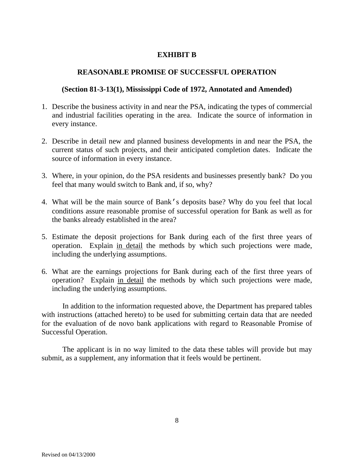## **EXHIBIT B**

### **REASONABLE PROMISE OF SUCCESSFUL OPERATION**

### **(Section 81-3-13(1), Mississippi Code of 1972, Annotated and Amended)**

- 1. Describe the business activity in and near the PSA, indicating the types of commercial and industrial facilities operating in the area. Indicate the source of information in every instance.
- 2. Describe in detail new and planned business developments in and near the PSA, the current status of such projects, and their anticipated completion dates. Indicate the source of information in every instance.
- 3. Where, in your opinion, do the PSA residents and businesses presently bank? Do you feel that many would switch to Bank and, if so, why?
- 4. What will be the main source of Bank's deposits base? Why do you feel that local conditions assure reasonable promise of successful operation for Bank as well as for the banks already established in the area?
- 5. Estimate the deposit projections for Bank during each of the first three years of operation. Explain in detail the methods by which such projections were made, including the underlying assumptions.
- 6. What are the earnings projections for Bank during each of the first three years of operation? Explain in detail the methods by which such projections were made, including the underlying assumptions.

In addition to the information requested above, the Department has prepared tables with instructions (attached hereto) to be used for submitting certain data that are needed for the evaluation of de novo bank applications with regard to Reasonable Promise of Successful Operation.

The applicant is in no way limited to the data these tables will provide but may submit, as a supplement, any information that it feels would be pertinent.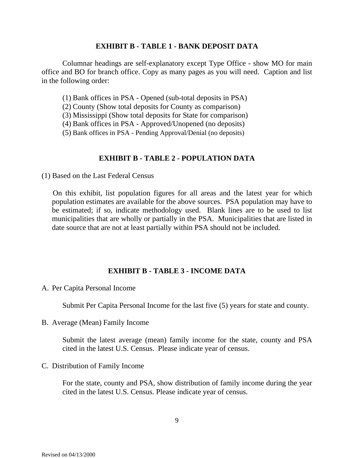### **EXHIBIT B - TABLE 1 - BANK DEPOSIT DATA**

Columnar headings are self-explanatory except Type Office - show MO for main office and BO for branch office. Copy as many pages as you will need. Caption and list in the following order:

(1) Bank offices in PSA - Opened (sub-total deposits in PSA)

(2) County (Show total deposits for County as comparison)

(3) Mississippi (Show total deposits for State for comparison)

(4) Bank offices in PSA - Approved/Unopened (no deposits)

(5) Bank offices in PSA - Pending Approval/Denial (no deposits)

### **EXHIBIT B - TABLE 2 - POPULATION DATA**

(1) Based on the Last Federal Census

 On this exhibit, list population figures for all areas and the latest year for which population estimates are available for the above sources. PSA population may have to be estimated; if so, indicate methodology used. Blank lines are to be used to list municipalities that are wholly or partially in the PSA. Municipalities that are listed in date source that are not at least partially within PSA should not be included.

### **EXHIBIT B - TABLE 3 - INCOME DATA**

A. Per Capita Personal Income

Submit Per Capita Personal Income for the last five (5) years for state and county.

B. Average (Mean) Family Income

Submit the latest average (mean) family income for the state, county and PSA cited in the latest U.S. Census. Please indicate year of census.

C. Distribution of Family Income

For the state, county and PSA, show distribution of family income during the year cited in the latest U.S. Census. Please indicate year of census.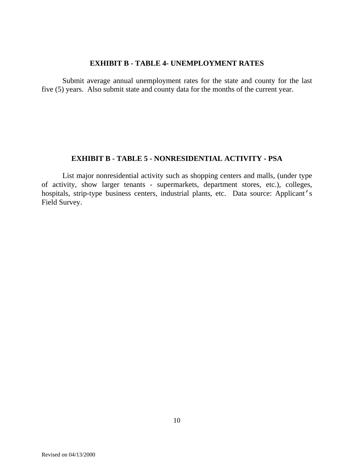### **EXHIBIT B - TABLE 4- UNEMPLOYMENT RATES**

Submit average annual unemployment rates for the state and county for the last five (5) years. Also submit state and county data for the months of the current year.

### **EXHIBIT B - TABLE 5 - NONRESIDENTIAL ACTIVITY - PSA**

List major nonresidential activity such as shopping centers and malls, (under type of activity, show larger tenants - supermarkets, department stores, etc.), colleges, hospitals, strip-type business centers, industrial plants, etc. Data source: Applicant's Field Survey.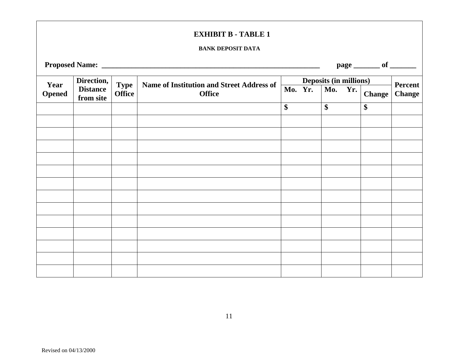### **EXHIBIT B - TABLE 1**

#### **BANK DEPOSIT DATA**

**Proposed Name: \_\_\_\_\_\_\_\_\_\_\_\_\_\_\_\_\_\_\_\_\_\_\_\_\_\_\_\_\_\_\_\_\_\_\_\_\_\_\_\_\_\_\_\_\_\_\_\_\_\_\_\_\_\_\_\_\_\_ page \_\_\_\_\_\_\_ of \_\_\_\_\_\_\_** 

|                       | Direction,                   |                              |                                                                   |         |  | <b>Deposits (in millions)</b> |        |                          |
|-----------------------|------------------------------|------------------------------|-------------------------------------------------------------------|---------|--|-------------------------------|--------|--------------------------|
| Year<br><b>Opened</b> | <b>Distance</b><br>from site | <b>Type</b><br><b>Office</b> | <b>Name of Institution and Street Address of</b><br><b>Office</b> | Mo. Yr. |  | Mo. $Yr.$                     | Change | Percent<br><b>Change</b> |
|                       |                              |                              |                                                                   | \$      |  | \$                            | \$     |                          |
|                       |                              |                              |                                                                   |         |  |                               |        |                          |
|                       |                              |                              |                                                                   |         |  |                               |        |                          |
|                       |                              |                              |                                                                   |         |  |                               |        |                          |
|                       |                              |                              |                                                                   |         |  |                               |        |                          |
|                       |                              |                              |                                                                   |         |  |                               |        |                          |
|                       |                              |                              |                                                                   |         |  |                               |        |                          |
|                       |                              |                              |                                                                   |         |  |                               |        |                          |
|                       |                              |                              |                                                                   |         |  |                               |        |                          |
|                       |                              |                              |                                                                   |         |  |                               |        |                          |
|                       |                              |                              |                                                                   |         |  |                               |        |                          |
|                       |                              |                              |                                                                   |         |  |                               |        |                          |
|                       |                              |                              |                                                                   |         |  |                               |        |                          |
|                       |                              |                              |                                                                   |         |  |                               |        |                          |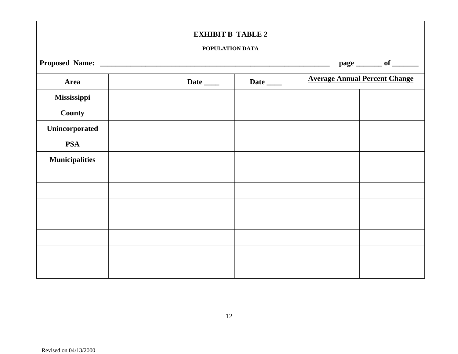### **EXHIBIT B TABLE 2**

#### **POPULATION DATA**

| page ________ of _______ |  |             |             |                                      |  |  |  |  |
|--------------------------|--|-------------|-------------|--------------------------------------|--|--|--|--|
| Area                     |  | Date $\_\_$ | Date $\_\_$ | <b>Average Annual Percent Change</b> |  |  |  |  |
| Mississippi              |  |             |             |                                      |  |  |  |  |
| County                   |  |             |             |                                      |  |  |  |  |
| Unincorporated           |  |             |             |                                      |  |  |  |  |
| <b>PSA</b>               |  |             |             |                                      |  |  |  |  |
| <b>Municipalities</b>    |  |             |             |                                      |  |  |  |  |
|                          |  |             |             |                                      |  |  |  |  |
|                          |  |             |             |                                      |  |  |  |  |
|                          |  |             |             |                                      |  |  |  |  |
|                          |  |             |             |                                      |  |  |  |  |
|                          |  |             |             |                                      |  |  |  |  |
|                          |  |             |             |                                      |  |  |  |  |
|                          |  |             |             |                                      |  |  |  |  |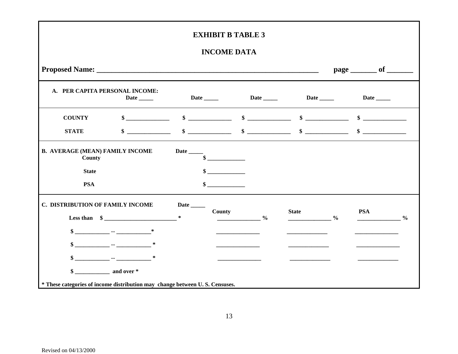### **INCOME DATA**

| Date Date Date Date Date<br>$\frac{1}{2}$ \$<br>$\frac{\text{I}}{\text{I}}$ $\frac{\text{I}}{\text{I}}$ $\frac{\text{I}}{\text{I}}$ $\frac{\text{I}}{\text{I}}$ $\frac{\text{I}}{\text{I}}$ $\frac{\text{I}}{\text{I}}$ $\frac{\text{I}}{\text{I}}$ $\frac{\text{I}}{\text{I}}$ $\frac{\text{I}}{\text{I}}$ $\frac{\text{I}}{\text{I}}$ $\frac{\text{I}}{\text{I}}$ $\frac{\text{I}}{\text{I}}$ $\frac{\text{I}}{\text{I}}$ $\frac{\text{I}}{\text{I}}$ $\frac{\text{I}}{\text{$<br>$\sim$ |              |               | Date $\_\_\_\_\_\_\$                                                        |               |
|--------------------------------------------------------------------------------------------------------------------------------------------------------------------------------------------------------------------------------------------------------------------------------------------------------------------------------------------------------------------------------------------------------------------------------------------------------------------------------------------|--------------|---------------|-----------------------------------------------------------------------------|---------------|
|                                                                                                                                                                                                                                                                                                                                                                                                                                                                                            |              |               |                                                                             |               |
|                                                                                                                                                                                                                                                                                                                                                                                                                                                                                            |              |               |                                                                             |               |
|                                                                                                                                                                                                                                                                                                                                                                                                                                                                                            |              |               |                                                                             |               |
|                                                                                                                                                                                                                                                                                                                                                                                                                                                                                            |              |               |                                                                             |               |
|                                                                                                                                                                                                                                                                                                                                                                                                                                                                                            |              |               |                                                                             |               |
| County<br>$\frac{6}{9}$                                                                                                                                                                                                                                                                                                                                                                                                                                                                    | <b>State</b> | $\frac{6}{6}$ | <b>PSA</b>                                                                  | $\frac{0}{0}$ |
|                                                                                                                                                                                                                                                                                                                                                                                                                                                                                            |              |               |                                                                             |               |
|                                                                                                                                                                                                                                                                                                                                                                                                                                                                                            |              |               |                                                                             |               |
|                                                                                                                                                                                                                                                                                                                                                                                                                                                                                            |              |               |                                                                             |               |
|                                                                                                                                                                                                                                                                                                                                                                                                                                                                                            |              |               |                                                                             |               |
|                                                                                                                                                                                                                                                                                                                                                                                                                                                                                            |              |               | * These categories of income distribution may change between U.S. Censuses. |               |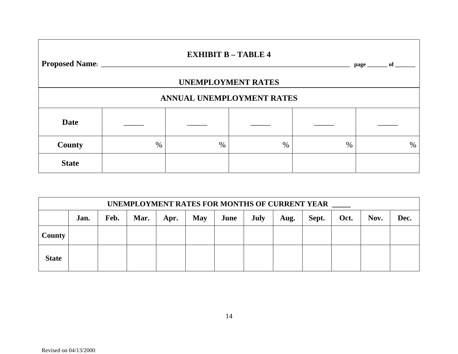# **EXHIBIT B – TABLE 4**

**Proposed Name: \_\_\_\_\_\_\_\_\_\_\_\_\_\_\_\_\_\_\_\_\_\_\_\_\_\_\_\_\_\_\_\_\_\_\_\_\_\_\_\_\_\_\_\_\_\_\_\_\_\_\_\_\_\_\_\_\_\_\_\_\_\_\_\_\_\_\_\_\_\_\_\_\_\_\_\_\_\_\_\_\_\_\_\_\_\_ page \_\_\_\_\_\_\_ of \_\_\_\_\_\_\_** 

# **UNEMPLOYMENT RATES**

# **ANNUAL UNEMPLOYMENT RATES**

| Date          |   |   |   |   |   |
|---------------|---|---|---|---|---|
| <b>County</b> | % | % | % | % | % |
| <b>State</b>  |   |   |   |   |   |

| UNEMPLOYMENT RATES FOR MONTHS OF CURRENT YEAR |      |      |      |      |            |      |      |      |       |      |      |      |
|-----------------------------------------------|------|------|------|------|------------|------|------|------|-------|------|------|------|
|                                               | Jan. | Feb. | Mar. | Apr. | <b>May</b> | June | July | Aug. | Sept. | Oct. | Nov. | Dec. |
| County                                        |      |      |      |      |            |      |      |      |       |      |      |      |
| <b>State</b>                                  |      |      |      |      |            |      |      |      |       |      |      |      |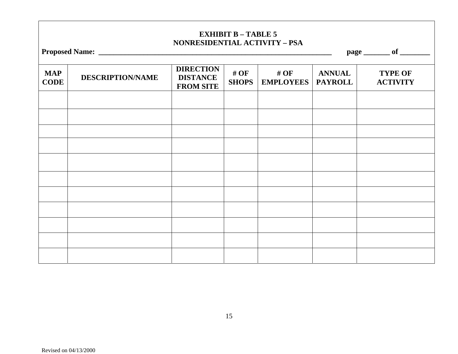# **EXHIBIT B – TABLE 5 NONRESIDENTIAL ACTIVITY – PSA**

| <b>Proposed Name:</b> |  |
|-----------------------|--|
|-----------------------|--|

page \_\_\_\_\_\_\_\_\_ of \_

| <b>MAP</b><br><b>CODE</b> | <b>DESCRIPTION/NAME</b> | <b>DIRECTION</b><br><b>DISTANCE</b><br><b>FROM SITE</b> | # OF<br><b>SHOPS</b> | # $OF$<br><b>EMPLOYEES</b> | <b>ANNUAL</b><br><b>PAYROLL</b> | <b>TYPE OF</b><br><b>ACTIVITY</b> |
|---------------------------|-------------------------|---------------------------------------------------------|----------------------|----------------------------|---------------------------------|-----------------------------------|
|                           |                         |                                                         |                      |                            |                                 |                                   |
|                           |                         |                                                         |                      |                            |                                 |                                   |
|                           |                         |                                                         |                      |                            |                                 |                                   |
|                           |                         |                                                         |                      |                            |                                 |                                   |
|                           |                         |                                                         |                      |                            |                                 |                                   |
|                           |                         |                                                         |                      |                            |                                 |                                   |
|                           |                         |                                                         |                      |                            |                                 |                                   |
|                           |                         |                                                         |                      |                            |                                 |                                   |
|                           |                         |                                                         |                      |                            |                                 |                                   |
|                           |                         |                                                         |                      |                            |                                 |                                   |
|                           |                         |                                                         |                      |                            |                                 |                                   |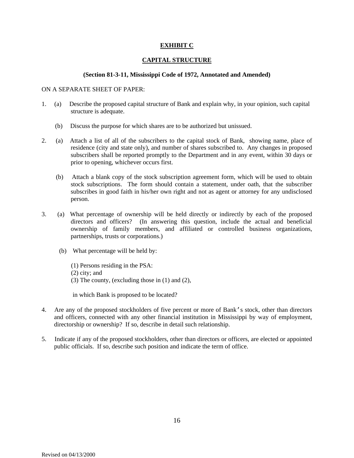#### **EXHIBIT C**

#### **CAPITAL STRUCTURE**

#### **(Section 81-3-11, Mississippi Code of 1972, Annotated and Amended)**

#### ON A SEPARATE SHEET OF PAPER:

- 1. (a) Describe the proposed capital structure of Bank and explain why, in your opinion, such capital structure is adequate.
	- (b) Discuss the purpose for which shares are to be authorized but unissued.
- 2. (a) Attach a list of all of the subscribers to the capital stock of Bank, showing name, place of residence (city and state only), and number of shares subscribed to. Any changes in proposed subscribers shall be reported promptly to the Department and in any event, within 30 days or prior to opening, whichever occurs first.
	- (b) Attach a blank copy of the stock subscription agreement form, which will be used to obtain stock subscriptions. The form should contain a statement, under oath, that the subscriber subscribes in good faith in his/her own right and not as agent or attorney for any undisclosed person.
- 3. (a) What percentage of ownership will be held directly or indirectly by each of the proposed directors and officers? (In answering this question, include the actual and beneficial ownership of family members, and affiliated or controlled business organizations, partnerships, trusts or corporations.)
	- (b) What percentage will be held by:
		- (1) Persons residing in the PSA: (2) city; and (3) The county, (excluding those in (1) and (2),

in which Bank is proposed to be located?

- 4. Are any of the proposed stockholders of five percent or more of Bank's stock, other than directors and officers, connected with any other financial institution in Mississippi by way of employment, directorship or ownership? If so, describe in detail such relationship.
- 5. Indicate if any of the proposed stockholders, other than directors or officers, are elected or appointed public officials. If so, describe such position and indicate the term of office.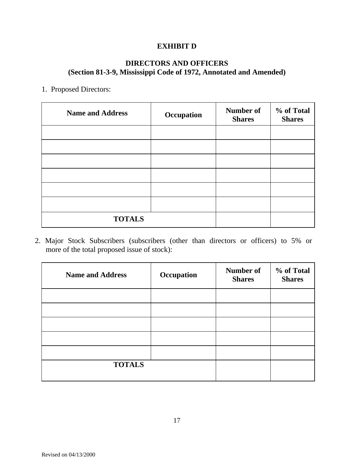# **EXHIBIT D**

# **DIRECTORS AND OFFICERS (Section 81-3-9, Mississippi Code of 1972, Annotated and Amended)**

### 1. Proposed Directors:

| <b>Name and Address</b> | Occupation | Number of<br><b>Shares</b> | % of Total<br><b>Shares</b> |
|-------------------------|------------|----------------------------|-----------------------------|
|                         |            |                            |                             |
|                         |            |                            |                             |
|                         |            |                            |                             |
|                         |            |                            |                             |
|                         |            |                            |                             |
|                         |            |                            |                             |
| <b>TOTALS</b>           |            |                            |                             |

 2. Major Stock Subscribers (subscribers (other than directors or officers) to 5% or more of the total proposed issue of stock):

| <b>Name and Address</b> | Occupation | <b>Number of</b><br><b>Shares</b> | % of Total<br><b>Shares</b> |
|-------------------------|------------|-----------------------------------|-----------------------------|
|                         |            |                                   |                             |
|                         |            |                                   |                             |
|                         |            |                                   |                             |
|                         |            |                                   |                             |
|                         |            |                                   |                             |
| <b>TOTALS</b>           |            |                                   |                             |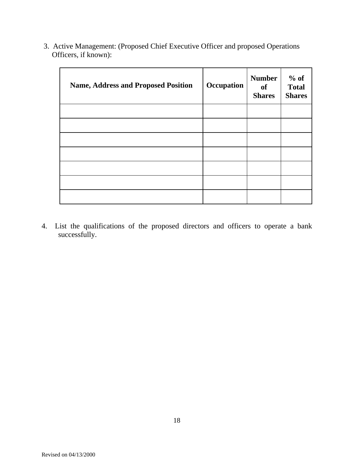| <b>Name, Address and Proposed Position</b> | Occupation | <b>Number</b><br>of<br><b>Shares</b> | $%$ of<br><b>Total</b><br><b>Shares</b> |
|--------------------------------------------|------------|--------------------------------------|-----------------------------------------|
|                                            |            |                                      |                                         |
|                                            |            |                                      |                                         |
|                                            |            |                                      |                                         |
|                                            |            |                                      |                                         |
|                                            |            |                                      |                                         |
|                                            |            |                                      |                                         |
|                                            |            |                                      |                                         |

3. Active Management: (Proposed Chief Executive Officer and proposed Operations Officers, if known):

4. List the qualifications of the proposed directors and officers to operate a bank successfully.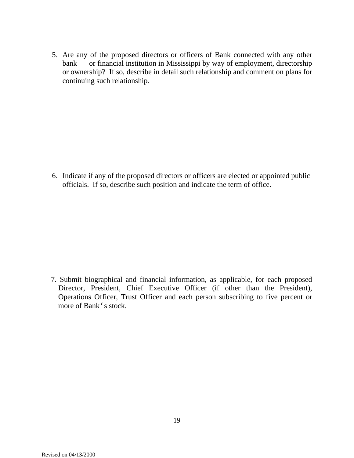5. Are any of the proposed directors or officers of Bank connected with any other bank or financial institution in Mississippi by way of employment, directorship or ownership? If so, describe in detail such relationship and comment on plans for continuing such relationship.

6. Indicate if any of the proposed directors or officers are elected or appointed public officials. If so, describe such position and indicate the term of office.

 7. Submit biographical and financial information, as applicable, for each proposed Director, President, Chief Executive Officer (if other than the President), Operations Officer, Trust Officer and each person subscribing to five percent or more of Bank's stock.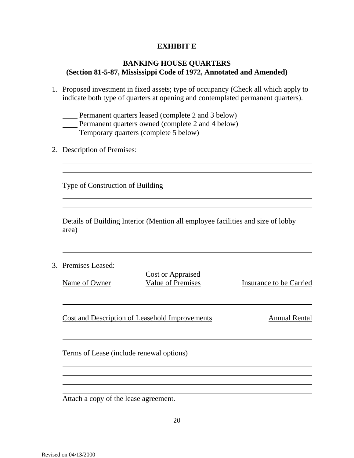## **EXHIBIT E**

### **BANKING HOUSE QUARTERS (Section 81-5-87, Mississippi Code of 1972, Annotated and Amended)**

- 1. Proposed investment in fixed assets; type of occupancy (Check all which apply to indicate both type of quarters at opening and contemplated permanent quarters).
	- Permanent quarters leased (complete 2 and 3 below)
	- Permanent quarters owned (complete 2 and 4 below)
	- Temporary quarters (complete 5 below)
- 2. Description of Premises:

Type of Construction of Building

Details of Building Interior (Mention all employee facilities and size of lobby area)

3. Premises Leased:

Cost or Appraised

Name of Owner Value of Premises Insurance to be Carried

Cost and Description of Leasehold Improvements Annual Rental

Terms of Lease (include renewal options)

Attach a copy of the lease agreement.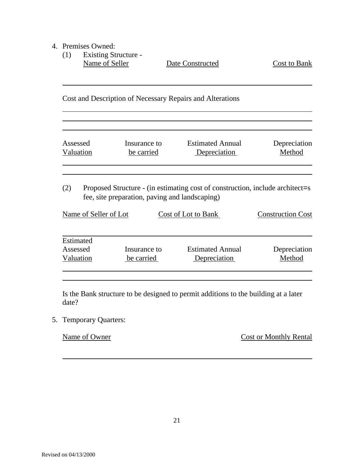- 4. Premises Owned:
	- (1) Existing Structure Name of Seller Date Constructed Cost to Bank

Cost and Description of Necessary Repairs and Alterations

Assessed Insurance to Estimated Annual Depreciation Valuation be carried Depreciation Method

(2) Proposed Structure - (in estimating cost of construction, include architect=s fee, site preparation, paving and landscaping)

| Name of Seller of Lot              |                            | Cost of Lot to Bank                     | <b>Construction Cost</b> |  |
|------------------------------------|----------------------------|-----------------------------------------|--------------------------|--|
| Estimated<br>Assessed<br>Valuation | Insurance to<br>be carried | <b>Estimated Annual</b><br>Depreciation | Depreciation<br>Method   |  |

Is the Bank structure to be designed to permit additions to the building at a later date?

5. Temporary Quarters:

Name of Owner Cost or Monthly Rental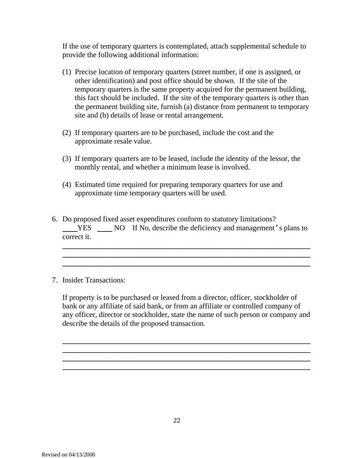If the use of temporary quarters is contemplated, attach supplemental schedule to provide the following additional information:

- (1) Precise location of temporary quarters (street number, if one is assigned, or other identification) and post office should be shown. If the site of the temporary quarters is the same property acquired for the permanent building, this fact should be included. If the site of the temporary quarters is other than the permanent building site, furnish (a) distance from permanent to temporary site and (b) details of lease or rental arrangement.
- (2) If temporary quarters are to be purchased, include the cost and the approximate resale value.
- (3) If temporary quarters are to be leased, include the identity of the lessor, the monthly rental, and whether a minimum lease is involved.
- (4) Estimated time required for preparing temporary quarters for use and approximate time temporary quarters will be used.
- 6. Do proposed fixed asset expenditures conform to statutory limitations? YES NO If No, describe the deficiency and management's plans to correct it.

**\_\_\_\_\_\_\_\_\_\_\_\_\_\_\_\_\_\_\_\_\_\_\_\_\_\_\_\_\_\_\_\_\_\_\_\_\_\_\_\_\_\_\_\_\_\_\_\_\_\_\_\_\_\_\_\_\_\_\_\_\_\_\_\_\_\_ \_\_\_\_\_\_\_\_\_\_\_\_\_\_\_\_\_\_\_\_\_\_\_\_\_\_\_\_\_\_\_\_\_\_\_\_\_\_\_\_\_\_\_\_\_\_\_\_\_\_\_\_\_\_\_\_\_\_\_\_\_\_\_\_\_\_ \_\_\_\_\_\_\_\_\_\_\_\_\_\_\_\_\_\_\_\_\_\_\_\_\_\_\_\_\_\_\_\_\_\_\_\_\_\_\_\_\_\_\_\_\_\_\_\_\_\_\_\_\_\_\_\_\_\_\_\_\_\_\_\_\_\_** 

7. Insider Transactions:

If property is to be purchased or leased from a director, officer, stockholder of bank or any affiliate of said bank, or from an affiliate or controlled company of any officer, director or stockholder, state the name of such person or company and describe the details of the proposed transaction.

**\_\_\_\_\_\_\_\_\_\_\_\_\_\_\_\_\_\_\_\_\_\_\_\_\_\_\_\_\_\_\_\_\_\_\_\_\_\_\_\_\_\_\_\_\_\_\_\_\_\_\_\_\_\_\_\_\_\_\_\_\_\_\_\_\_\_ \_\_\_\_\_\_\_\_\_\_\_\_\_\_\_\_\_\_\_\_\_\_\_\_\_\_\_\_\_\_\_\_\_\_\_\_\_\_\_\_\_\_\_\_\_\_\_\_\_\_\_\_\_\_\_\_\_\_\_\_\_\_\_\_\_\_ \_\_\_\_\_\_\_\_\_\_\_\_\_\_\_\_\_\_\_\_\_\_\_\_\_\_\_\_\_\_\_\_\_\_\_\_\_\_\_\_\_\_\_\_\_\_\_\_\_\_\_\_\_\_\_\_\_\_\_\_\_\_\_\_\_\_ \_\_\_\_\_\_\_\_\_\_\_\_\_\_\_\_\_\_\_\_\_\_\_\_\_\_\_\_\_\_\_\_\_\_\_\_\_\_\_\_\_\_\_\_\_\_\_\_\_\_\_\_\_\_\_\_\_\_\_\_\_\_\_\_\_\_**